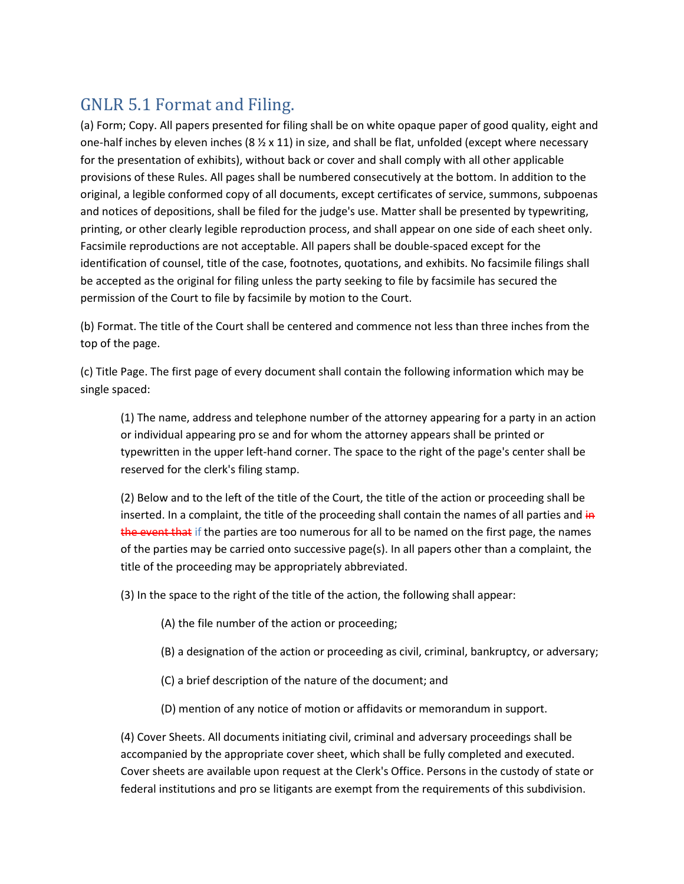## GNLR 5.1 Format and Filing.

(a) Form; Copy. All papers presented for filing shall be on white opaque paper of good quality, eight and one-half inches by eleven inches (8  $\frac{1}{2}$  x 11) in size, and shall be flat, unfolded (except where necessary for the presentation of exhibits), without back or cover and shall comply with all other applicable provisions of these Rules. All pages shall be numbered consecutively at the bottom. In addition to the original, a legible conformed copy of all documents, except certificates of service, summons, subpoenas and notices of depositions, shall be filed for the judge's use. Matter shall be presented by typewriting, printing, or other clearly legible reproduction process, and shall appear on one side of each sheet only. Facsimile reproductions are not acceptable. All papers shall be double-spaced except for the identification of counsel, title of the case, footnotes, quotations, and exhibits. No facsimile filings shall be accepted as the original for filing unless the party seeking to file by facsimile has secured the permission of the Court to file by facsimile by motion to the Court.

(b) Format. The title of the Court shall be centered and commence not less than three inches from the top of the page.

(c) Title Page. The first page of every document shall contain the following information which may be single spaced:

(1) The name, address and telephone number of the attorney appearing for a party in an action or individual appearing pro se and for whom the attorney appears shall be printed or typewritten in the upper left-hand corner. The space to the right of the page's center shall be reserved for the clerk's filing stamp.

(2) Below and to the left of the title of the Court, the title of the action or proceeding shall be inserted. In a complaint, the title of the proceeding shall contain the names of all parties and in the event that if the parties are too numerous for all to be named on the first page, the names of the parties may be carried onto successive page(s). In all papers other than a complaint, the title of the proceeding may be appropriately abbreviated.

(3) In the space to the right of the title of the action, the following shall appear:

- (A) the file number of the action or proceeding;
- (B) a designation of the action or proceeding as civil, criminal, bankruptcy, or adversary;
- (C) a brief description of the nature of the document; and
- (D) mention of any notice of motion or affidavits or memorandum in support.

(4) Cover Sheets. All documents initiating civil, criminal and adversary proceedings shall be accompanied by the appropriate cover sheet, which shall be fully completed and executed. Cover sheets are available upon request at the Clerk's Office. Persons in the custody of state or federal institutions and pro se litigants are exempt from the requirements of this subdivision.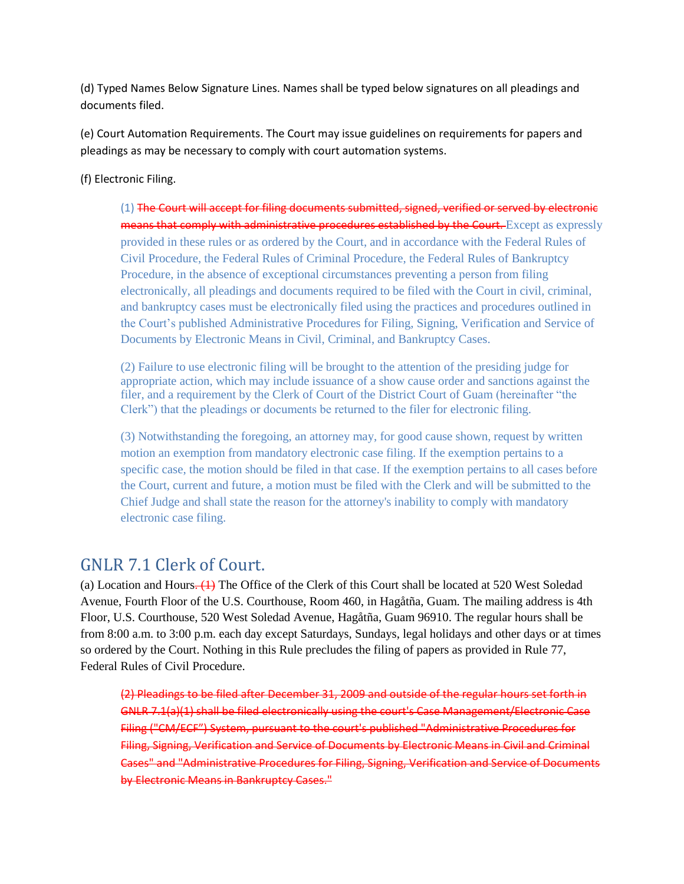(d) Typed Names Below Signature Lines. Names shall be typed below signatures on all pleadings and documents filed.

(e) Court Automation Requirements. The Court may issue guidelines on requirements for papers and pleadings as may be necessary to comply with court automation systems.

(f) Electronic Filing.

(1) The Court will accept for filing documents submitted, signed, verified or served by electronic means that comply with administrative procedures established by the Court. Except as expressly provided in these rules or as ordered by the Court, and in accordance with the Federal Rules of Civil Procedure, the Federal Rules of Criminal Procedure, the Federal Rules of Bankruptcy Procedure, in the absence of exceptional circumstances preventing a person from filing electronically, all pleadings and documents required to be filed with the Court in civil, criminal, and bankruptcy cases must be electronically filed using the practices and procedures outlined in the Court's published Administrative Procedures for Filing, Signing, Verification and Service of Documents by Electronic Means in Civil, Criminal, and Bankruptcy Cases.

(2) Failure to use electronic filing will be brought to the attention of the presiding judge for appropriate action, which may include issuance of a show cause order and sanctions against the filer, and a requirement by the Clerk of Court of the District Court of Guam (hereinafter "the Clerk") that the pleadings or documents be returned to the filer for electronic filing.

(3) Notwithstanding the foregoing, an attorney may, for good cause shown, request by written motion an exemption from mandatory electronic case filing. If the exemption pertains to a specific case, the motion should be filed in that case. If the exemption pertains to all cases before the Court, current and future, a motion must be filed with the Clerk and will be submitted to the Chief Judge and shall state the reason for the attorney's inability to comply with mandatory electronic case filing.

## GNLR 7.1 Clerk of Court.

(a) Location and Hours. (1) The Office of the Clerk of this Court shall be located at 520 West Soledad Avenue, Fourth Floor of the U.S. Courthouse, Room 460, in Hagåtña, Guam. The mailing address is 4th Floor, U.S. Courthouse, 520 West Soledad Avenue, Hagåtña, Guam 96910. The regular hours shall be from 8:00 a.m. to 3:00 p.m. each day except Saturdays, Sundays, legal holidays and other days or at times so ordered by the Court. Nothing in this Rule precludes the filing of papers as provided in Rule 77, Federal Rules of Civil Procedure.

(2) Pleadings to be filed after December 31, 2009 and outside of the regular hours set forth in GNLR 7.1(a)(1) shall be filed electronically using the court's Case Management/Electronic Case Filing ("CM/ECF") System, pursuant to the court's published "Administrative Procedures for Filing, Signing, Verification and Service of Documents by Electronic Means in Civil and Criminal Cases" and "Administrative Procedures for Filing, Signing, Verification and Service of Documents by Electronic Means in Bankruptcy Cases."